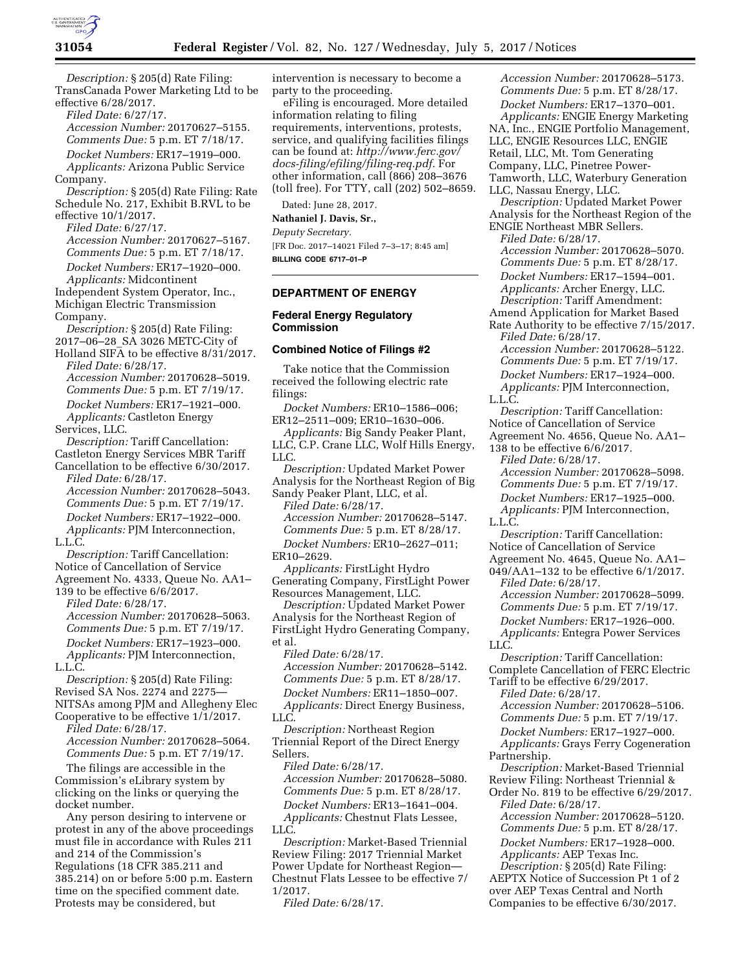

*Description:* § 205(d) Rate Filing: TransCanada Power Marketing Ltd to be effective 6/28/2017.

*Filed Date:* 6/27/17. *Accession Number:* 20170627–5155.

*Comments Due:* 5 p.m. ET 7/18/17. *Docket Numbers:* ER17–1919–000.

*Applicants:* Arizona Public Service Company.

*Description:* § 205(d) Rate Filing: Rate Schedule No. 217, Exhibit B.RVL to be effective 10/1/2017.

*Filed Date:* 6/27/17.

*Accession Number:* 20170627–5167. *Comments Due:* 5 p.m. ET 7/18/17. *Docket Numbers:* ER17–1920–000. *Applicants:* Midcontinent

Independent System Operator, Inc., Michigan Electric Transmission Company.

*Description:* § 205(d) Rate Filing: 2017–06–28\_SA 3026 METC-City of

Holland SIFA to be effective 8/31/2017. *Filed Date:* 6/28/17. *Accession Number:* 20170628–5019. *Comments Due:* 5 p.m. ET 7/19/17. *Docket Numbers:* ER17–1921–000. *Applicants:* Castleton Energy

Services, LLC.

*Description:* Tariff Cancellation: Castleton Energy Services MBR Tariff Cancellation to be effective 6/30/2017.

*Filed Date:* 6/28/17. *Accession Number:* 20170628–5043. *Comments Due:* 5 p.m. ET 7/19/17. *Docket Numbers:* ER17–1922–000. *Applicants:* PJM Interconnection, L.L.C.

*Description:* Tariff Cancellation: Notice of Cancellation of Service Agreement No. 4333, Queue No. AA1–

139 to be effective 6/6/2017. *Filed Date:* 6/28/17.

*Accession Number:* 20170628–5063. *Comments Due:* 5 p.m. ET 7/19/17. *Docket Numbers:* ER17–1923–000. *Applicants:* PJM Interconnection,

L.L.C. *Description:* § 205(d) Rate Filing:

Revised SA Nos. 2274 and 2275— NITSAs among PJM and Allegheny Elec Cooperative to be effective 1/1/2017.

*Filed Date:* 6/28/17. *Accession Number:* 20170628–5064.

*Comments Due:* 5 p.m. ET 7/19/17. The filings are accessible in the Commission's eLibrary system by clicking on the links or querying the

docket number. Any person desiring to intervene or protest in any of the above proceedings must file in accordance with Rules 211 and 214 of the Commission's Regulations (18 CFR 385.211 and 385.214) on or before 5:00 p.m. Eastern time on the specified comment date. Protests may be considered, but

intervention is necessary to become a party to the proceeding.

eFiling is encouraged. More detailed information relating to filing requirements, interventions, protests, service, and qualifying facilities filings can be found at: *[http://www.ferc.gov/](http://www.ferc.gov/docs-filing/efiling/filing-req.pdf)  [docs-filing/efiling/filing-req.pdf.](http://www.ferc.gov/docs-filing/efiling/filing-req.pdf)* For other information, call (866) 208–3676 (toll free). For TTY, call (202) 502–8659.

Dated: June 28, 2017.

**Nathaniel J. Davis, Sr.,** 

*Deputy Secretary.* 

[FR Doc. 2017–14021 Filed 7–3–17; 8:45 am] **BILLING CODE 6717–01–P** 

#### **DEPARTMENT OF ENERGY**

### **Federal Energy Regulatory Commission**

## **Combined Notice of Filings #2**

Take notice that the Commission received the following electric rate filings:

*Docket Numbers:* ER10–1586–006; ER12–2511–009; ER10–1630–006.

*Applicants:* Big Sandy Peaker Plant, LLC, C.P. Crane LLC, Wolf Hills Energy, LLC.

*Description:* Updated Market Power Analysis for the Northeast Region of Big Sandy Peaker Plant, LLC, et al.

*Filed Date:* 6/28/17. *Accession Number:* 20170628–5147. *Comments Due:* 5 p.m. ET 8/28/17.

*Docket Numbers:* ER10–2627–011; ER10–2629.

*Applicants:* FirstLight Hydro Generating Company, FirstLight Power Resources Management, LLC.

*Description:* Updated Market Power Analysis for the Northeast Region of FirstLight Hydro Generating Company, et al.

*Filed Date:* 6/28/17.

*Accession Number:* 20170628–5142. *Comments Due:* 5 p.m. ET 8/28/17. *Docket Numbers:* ER11–1850–007. *Applicants:* Direct Energy Business, LLC.

*Description:* Northeast Region Triennial Report of the Direct Energy Sellers.

*Filed Date:* 6/28/17. *Accession Number:* 20170628–5080. *Comments Due:* 5 p.m. ET 8/28/17.

*Docket Numbers:* ER13–1641–004. *Applicants:* Chestnut Flats Lessee, LLC.

*Description:* Market-Based Triennial Review Filing: 2017 Triennial Market Power Update for Northeast Region— Chestnut Flats Lessee to be effective 7/ 1/2017.

*Filed Date:* 6/28/17.

*Accession Number:* 20170628–5173. *Comments Due:* 5 p.m. ET 8/28/17. *Docket Numbers:* ER17–1370–001. *Applicants:* ENGIE Energy Marketing NA, Inc., ENGIE Portfolio Management, LLC, ENGIE Resources LLC, ENGIE Retail, LLC, Mt. Tom Generating Company, LLC, Pinetree Power-Tamworth, LLC, Waterbury Generation LLC, Nassau Energy, LLC.

*Description:* Updated Market Power Analysis for the Northeast Region of the ENGIE Northeast MBR Sellers.

*Filed Date:* 6/28/17. *Accession Number:* 20170628–5070. *Comments Due:* 5 p.m. ET 8/28/17.

*Docket Numbers:* ER17–1594–001. *Applicants:* Archer Energy, LLC. *Description:* Tariff Amendment:

Amend Application for Market Based Rate Authority to be effective 7/15/2017.

*Filed Date:* 6/28/17. *Accession Number:* 20170628–5122.

*Comments Due:* 5 p.m. ET 7/19/17.

*Docket Numbers:* ER17–1924–000. *Applicants:* PJM Interconnection,

L.L.C.

*Description:* Tariff Cancellation: Notice of Cancellation of Service Agreement No. 4656, Queue No. AA1– 138 to be effective 6/6/2017.

*Filed Date:* 6/28/17. *Accession Number:* 20170628–5098. *Comments Due:* 5 p.m. ET 7/19/17. *Docket Numbers:* ER17–1925–000. *Applicants:* PJM Interconnection, L.L.C.

*Description:* Tariff Cancellation:

Notice of Cancellation of Service Agreement No. 4645, Queue No. AA1–

049/AA1–132 to be effective 6/1/2017. *Filed Date:* 6/28/17.

*Accession Number:* 20170628–5099. *Comments Due:* 5 p.m. ET 7/19/17.

*Docket Numbers:* ER17–1926–000. *Applicants:* Entegra Power Services LLC.

*Description:* Tariff Cancellation: Complete Cancellation of FERC Electric

Tariff to be effective 6/29/2017. *Filed Date:* 6/28/17.

*Accession Number:* 20170628–5106. *Comments Due:* 5 p.m. ET 7/19/17. *Docket Numbers:* ER17–1927–000. *Applicants:* Grays Ferry Cogeneration

Partnership.

*Description:* Market-Based Triennial Review Filing: Northeast Triennial &

Order No. 819 to be effective 6/29/2017. *Filed Date:* 6/28/17.

*Accession Number:* 20170628–5120. *Comments Due:* 5 p.m. ET 8/28/17. *Docket Numbers:* ER17–1928–000.

*Applicants:* AEP Texas Inc.

*Description:* § 205(d) Rate Filing: AEPTX Notice of Succession Pt 1 of 2 over AEP Texas Central and North Companies to be effective 6/30/2017.